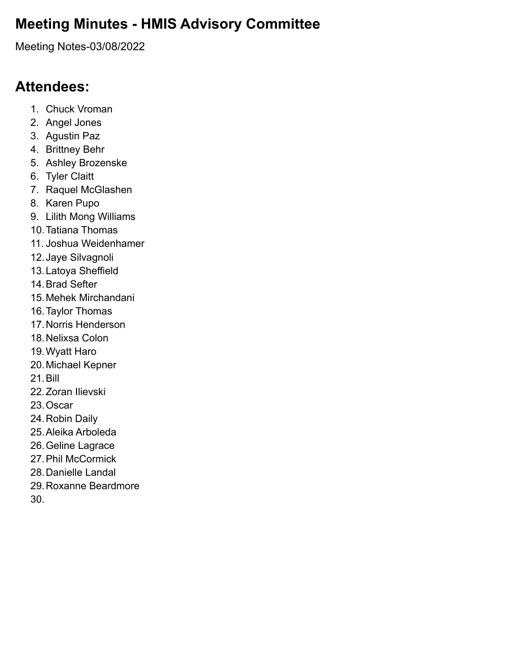## **Meeting Minutes - HMIS Advisory Committee**

Meeting Notes-03/08/2022

#### **Attendees:**

- 1. Chuck Vroman
- 2. Angel Jones
- 3. Agustin Paz
- 4. Brittney Behr
- 5. Ashley Brozenske
- 6. Tyler Claitt
- 7. Raquel McGlashen
- 8. Karen Pupo
- 9. Lilith Mong Williams
- 10.Tatiana Thomas
- 11. Joshua Weidenhamer
- 12.Jaye Silvagnoli
- 13.Latoya Sheffield
- 14.Brad Sefter
- 15.Mehek Mirchandani
- 16.Taylor Thomas
- 17.Norris Henderson
- 18.Nelixsa Colon
- 19.Wyatt Haro
- 20.Michael Kepner
- 21.Bill
- 22.Zoran Ilievski
- 23.Oscar
- 24.Robin Daily
- 25.Aleika Arboleda
- 26.Geline Lagrace
- 27.Phil McCormick
- 28.Danielle Landal
- 29.Roxanne Beardmore
- 30.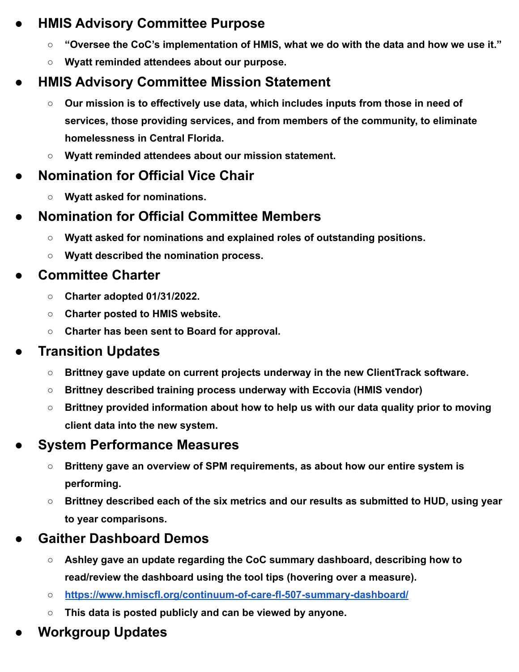#### **● HMIS Advisory Committee Purpose**

- **○ "Oversee the CoC's implementation of HMIS, what we do with the data and how we use it."**
- **○ Wyatt reminded attendees about our purpose.**

# **● HMIS Advisory Committee Mission Statement**

- **○ Our mission is to effectively use data, which includes inputs from those in need of services, those providing services, and from members of the community, to eliminate homelessness in Central Florida.**
- **○ Wyatt reminded attendees about our mission statement.**

# **● Nomination for Official Vice Chair**

**○ Wyatt asked for nominations.**

## **● Nomination for Official Committee Members**

- **○ Wyatt asked for nominations and explained roles of outstanding positions.**
- **○ Wyatt described the nomination process.**

## **● Committee Charter**

- **○ Charter adopted 01/31/2022.**
- **○ Charter posted to HMIS website.**
- **○ Charter has been sent to Board for approval.**

# **● Transition Updates**

- **○ Brittney gave update on current projects underway in the new ClientTrack software.**
- **○ Brittney described training process underway with Eccovia (HMIS vendor)**
- **○ Brittney provided information about how to help us with our data quality prior to moving client data into the new system.**

# **● System Performance Measures**

- **○ Britteny gave an overview of SPM requirements, as about how our entire system is performing.**
- **○ Brittney described each of the six metrics and our results as submitted to HUD, using year to year comparisons.**

# **● Gaither Dashboard Demos**

- **○ Ashley gave an update regarding the CoC summary dashboard, describing how to read/review the dashboard using the tool tips (hovering over a measure).**
- **○ <https://www.hmiscfl.org/continuum-of-care-fl-507-summary-dashboard/>**
- **○ This data is posted publicly and can be viewed by anyone.**
- **● Workgroup Updates**